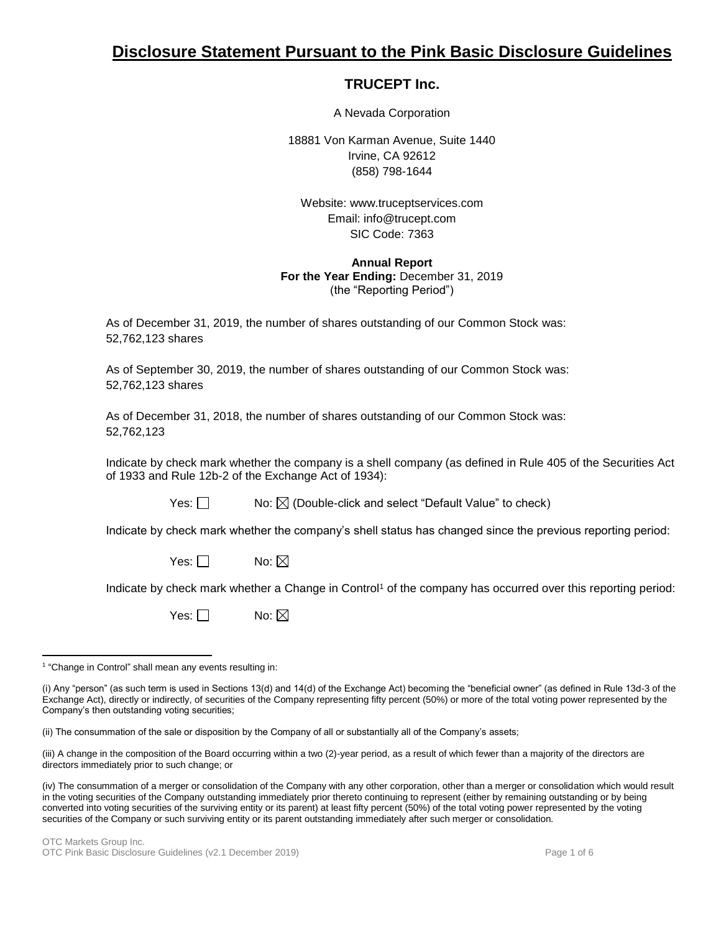# **Disclosure Statement Pursuant to the Pink Basic Disclosure Guidelines**

# **TRUCEPT Inc.**

A Nevada Corporation

18881 Von Karman Avenue, Suite 1440 Irvine, CA 92612 (858) 798-1644

Website: www.truceptservices.com Email: info@trucept.com SIC Code: 7363

### **Annual Report For the Year Ending:** December 31, 2019 (the "Reporting Period")

As of December 31, 2019, the number of shares outstanding of our Common Stock was: 52,762,123 shares

As of September 30, 2019, the number of shares outstanding of our Common Stock was: 52,762,123 shares

As of December 31, 2018, the number of shares outstanding of our Common Stock was: 52,762,123

Indicate by check mark whether the company is a shell company (as defined in Rule 405 of the Securities Act of 1933 and Rule 12b-2 of the Exchange Act of 1934):

Yes:  $\Box$  No:  $\boxtimes$  (Double-click and select "Default Value" to check)

Indicate by check mark whether the company's shell status has changed since the previous reporting period:

Yes:  $\Box$  No:  $\boxtimes$ 

Indicate by check mark whether a Change in Control<sup>1</sup> of the company has occurred over this reporting period:

Yes:  $\Box$  No:  $\boxtimes$ 

(ii) The consummation of the sale or disposition by the Company of all or substantially all of the Company's assets;

(iii) A change in the composition of the Board occurring within a two (2)-year period, as a result of which fewer than a majority of the directors are directors immediately prior to such change; or

 $\overline{a}$ <sup>1</sup> "Change in Control" shall mean any events resulting in:

<sup>(</sup>i) Any "person" (as such term is used in Sections 13(d) and 14(d) of the Exchange Act) becoming the "beneficial owner" (as defined in Rule 13d-3 of the Exchange Act), directly or indirectly, of securities of the Company representing fifty percent (50%) or more of the total voting power represented by the Company's then outstanding voting securities;

<sup>(</sup>iv) The consummation of a merger or consolidation of the Company with any other corporation, other than a merger or consolidation which would result in the voting securities of the Company outstanding immediately prior thereto continuing to represent (either by remaining outstanding or by being converted into voting securities of the surviving entity or its parent) at least fifty percent (50%) of the total voting power represented by the voting securities of the Company or such surviving entity or its parent outstanding immediately after such merger or consolidation.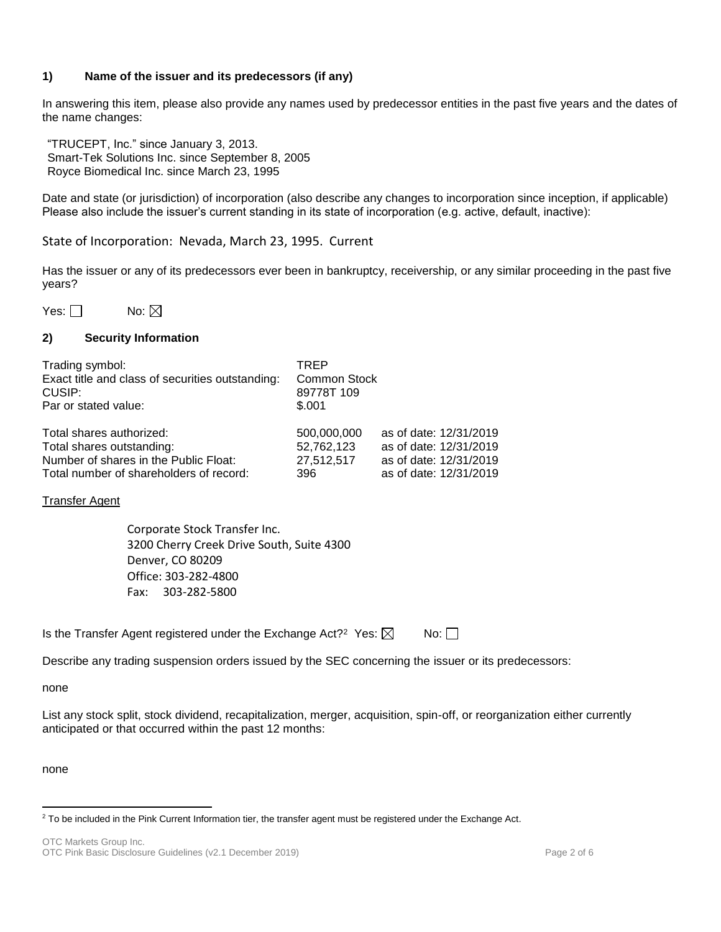# **1) Name of the issuer and its predecessors (if any)**

In answering this item, please also provide any names used by predecessor entities in the past five years and the dates of the name changes:

"TRUCEPT, Inc." since January 3, 2013. Smart-Tek Solutions Inc. since September 8, 2005 Royce Biomedical Inc. since March 23, 1995

Date and state (or jurisdiction) of incorporation (also describe any changes to incorporation since inception, if applicable) Please also include the issuer's current standing in its state of incorporation (e.g. active, default, inactive):

State of Incorporation: Nevada, March 23, 1995. Current

Has the issuer or any of its predecessors ever been in bankruptcy, receivership, or any similar proceeding in the past five years?

Yes:  $\Box$  No:  $\boxtimes$ 

# **2) Security Information**

| Trading symbol:<br>Exact title and class of securities outstanding:<br>CUSIP:<br>Par or stated value: | TREP<br>Common Stock<br>89778T 109<br>\$.001 |                        |
|-------------------------------------------------------------------------------------------------------|----------------------------------------------|------------------------|
| Total shares authorized:                                                                              | 500.000.000                                  | as of date: 12/31/2019 |
| Total shares outstanding:                                                                             | 52,762,123                                   | as of date: 12/31/2019 |
| Number of shares in the Public Float:                                                                 | 27,512,517                                   | as of date: 12/31/2019 |
| Total number of shareholders of record:                                                               | 396                                          | as of date: 12/31/2019 |

Transfer Agent

Corporate Stock Transfer Inc. 3200 Cherry Creek Drive South, Suite 4300 Denver, CO 80209 Office: 303-282-4800 Fax: 303-282-5800

Is the Transfer Agent registered under the Exchange Act?<sup>2</sup> Yes:  $\boxtimes$  No:

Describe any trading suspension orders issued by the SEC concerning the issuer or its predecessors:

none

List any stock split, stock dividend, recapitalization, merger, acquisition, spin-off, or reorganization either currently anticipated or that occurred within the past 12 months:

none

 $\overline{\phantom{a}}$ <sup>2</sup> To be included in the Pink Current Information tier, the transfer agent must be registered under the Exchange Act.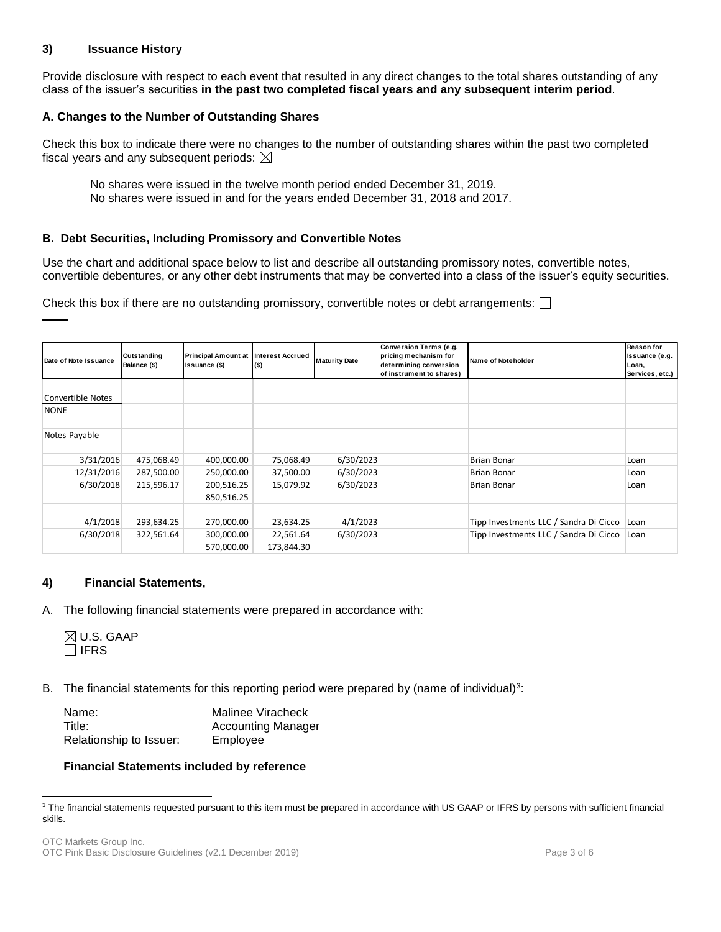# **3) Issuance History**

Provide disclosure with respect to each event that resulted in any direct changes to the total shares outstanding of any class of the issuer's securities **in the past two completed fiscal years and any subsequent interim period**.

# **A. Changes to the Number of Outstanding Shares**

Check this box to indicate there were no changes to the number of outstanding shares within the past two completed fiscal years and any subsequent periods:  $\boxtimes$ 

No shares were issued in the twelve month period ended December 31, 2019. No shares were issued in and for the years ended December 31, 2018 and 2017.

### **B. Debt Securities, Including Promissory and Convertible Notes**

Use the chart and additional space below to list and describe all outstanding promissory notes, convertible notes, convertible debentures, or any other debt instruments that may be converted into a class of the issuer's equity securities.

Check this box if there are no outstanding promissory, convertible notes or debt arrangements:  $\Box$ 

| Date of Note Issuance | Outstanding<br>Balance (\$) | <b>Principal Amount at</b><br>Issuance (\$) | <b>Interest Accrued</b><br>$($ \$) | <b>Maturity Date</b> | Conversion Terms (e.g.<br>pricing mechanism for<br>determining conversion<br>of instrument to shares) | Name of Noteholder                     | <b>Reason for</b><br>Issuance (e.g.<br>Loan,<br>Services, etc.) |
|-----------------------|-----------------------------|---------------------------------------------|------------------------------------|----------------------|-------------------------------------------------------------------------------------------------------|----------------------------------------|-----------------------------------------------------------------|
|                       |                             |                                             |                                    |                      |                                                                                                       |                                        |                                                                 |
| Convertible Notes     |                             |                                             |                                    |                      |                                                                                                       |                                        |                                                                 |
| <b>NONE</b>           |                             |                                             |                                    |                      |                                                                                                       |                                        |                                                                 |
|                       |                             |                                             |                                    |                      |                                                                                                       |                                        |                                                                 |
| Notes Payable         |                             |                                             |                                    |                      |                                                                                                       |                                        |                                                                 |
|                       |                             |                                             |                                    |                      |                                                                                                       |                                        |                                                                 |
| 3/31/2016             | 475,068.49                  | 400,000.00                                  | 75,068.49                          | 6/30/2023            |                                                                                                       | <b>Brian Bonar</b>                     | Loan                                                            |
| 12/31/2016            | 287,500.00                  | 250,000.00                                  | 37,500.00                          | 6/30/2023            |                                                                                                       | <b>Brian Bonar</b>                     | Loan                                                            |
| 6/30/2018             | 215,596.17                  | 200,516.25                                  | 15,079.92                          | 6/30/2023            |                                                                                                       | <b>Brian Bonar</b>                     | Loan                                                            |
|                       |                             | 850,516.25                                  |                                    |                      |                                                                                                       |                                        |                                                                 |
|                       |                             |                                             |                                    |                      |                                                                                                       |                                        |                                                                 |
| 4/1/2018              | 293,634.25                  | 270,000.00                                  | 23,634.25                          | 4/1/2023             |                                                                                                       | Tipp Investments LLC / Sandra Di Cicco | Loan                                                            |
| 6/30/2018             | 322,561.64                  | 300,000.00                                  | 22,561.64                          | 6/30/2023            |                                                                                                       | Tipp Investments LLC / Sandra Di Cicco | Loan                                                            |
|                       |                             | 570,000.00                                  | 173,844.30                         |                      |                                                                                                       |                                        |                                                                 |

#### **4) Financial Statements,**

A. The following financial statements were prepared in accordance with:

|               | $\boxtimes$ U.S. GAAP |
|---------------|-----------------------|
| $\sqcap$ IFRS |                       |

 $\overline{\phantom{a}}$ 

B. The financial statements for this reporting period were prepared by (name of individual) $3$ :

| Name:                   | Malinee Viracheck         |
|-------------------------|---------------------------|
| Title:                  | <b>Accounting Manager</b> |
| Relationship to Issuer: | Employee                  |

#### **Financial Statements included by reference**

<sup>&</sup>lt;sup>3</sup> The financial statements requested pursuant to this item must be prepared in accordance with US GAAP or IFRS by persons with sufficient financial skills.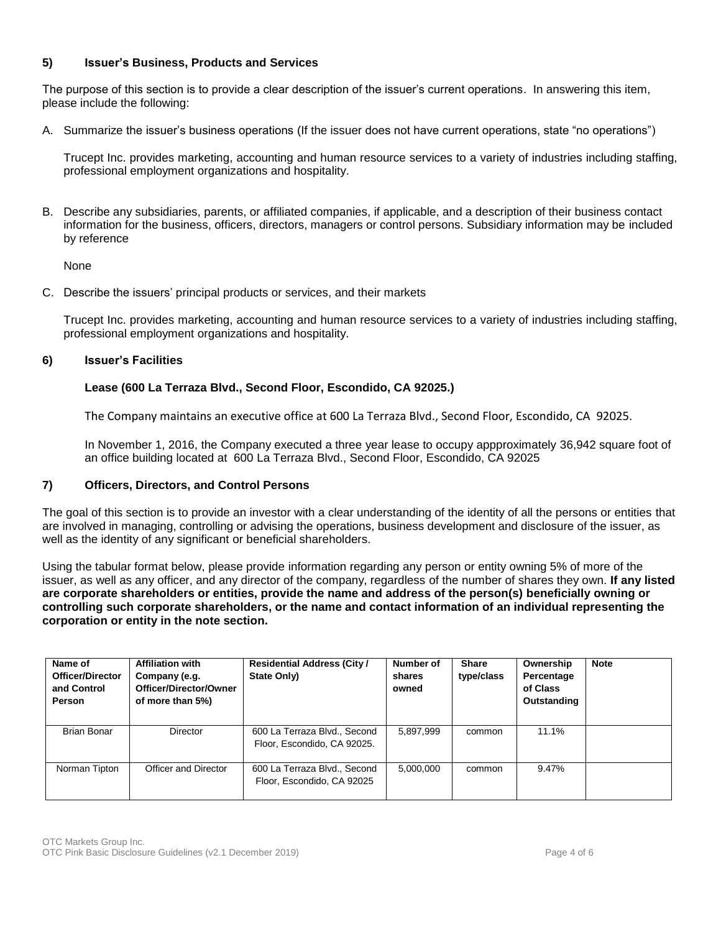# **5) Issuer's Business, Products and Services**

The purpose of this section is to provide a clear description of the issuer's current operations. In answering this item, please include the following:

A. Summarize the issuer's business operations (If the issuer does not have current operations, state "no operations")

Trucept Inc. provides marketing, accounting and human resource services to a variety of industries including staffing, professional employment organizations and hospitality.

B. Describe any subsidiaries, parents, or affiliated companies, if applicable, and a description of their business contact information for the business, officers, directors, managers or control persons. Subsidiary information may be included by reference

None

C. Describe the issuers' principal products or services, and their markets

Trucept Inc. provides marketing, accounting and human resource services to a variety of industries including staffing, professional employment organizations and hospitality.

# **6) Issuer's Facilities**

# **Lease (600 La Terraza Blvd., Second Floor, Escondido, CA 92025.)**

The Company maintains an executive office at 600 La Terraza Blvd., Second Floor, Escondido, CA 92025.

In November 1, 2016, the Company executed a three year lease to occupy appproximately 36,942 square foot of an office building located at 600 La Terraza Blvd., Second Floor, Escondido, CA 92025

#### **7) Officers, Directors, and Control Persons**

The goal of this section is to provide an investor with a clear understanding of the identity of all the persons or entities that are involved in managing, controlling or advising the operations, business development and disclosure of the issuer, as well as the identity of any significant or beneficial shareholders.

Using the tabular format below, please provide information regarding any person or entity owning 5% of more of the issuer, as well as any officer, and any director of the company, regardless of the number of shares they own. **If any listed are corporate shareholders or entities, provide the name and address of the person(s) beneficially owning or controlling such corporate shareholders, or the name and contact information of an individual representing the corporation or entity in the note section.** 

| Name of<br><b>Officer/Director</b><br>and Control<br>Person | <b>Affiliation with</b><br>Company (e.g.<br>Officer/Director/Owner<br>of more than 5%) | <b>Residential Address (City /</b><br>State Only)           | Number of<br>shares<br>owned | <b>Share</b><br>type/class | Ownership<br>Percentage<br>of Class<br>Outstanding | <b>Note</b> |
|-------------------------------------------------------------|----------------------------------------------------------------------------------------|-------------------------------------------------------------|------------------------------|----------------------------|----------------------------------------------------|-------------|
| <b>Brian Bonar</b>                                          | Director                                                                               | 600 La Terraza Blvd., Second<br>Floor, Escondido, CA 92025. | 5,897,999                    | common                     | 11.1%                                              |             |
| Norman Tipton                                               | Officer and Director                                                                   | 600 La Terraza Blvd., Second<br>Floor, Escondido, CA 92025  | 5.000.000                    | common                     | 9.47%                                              |             |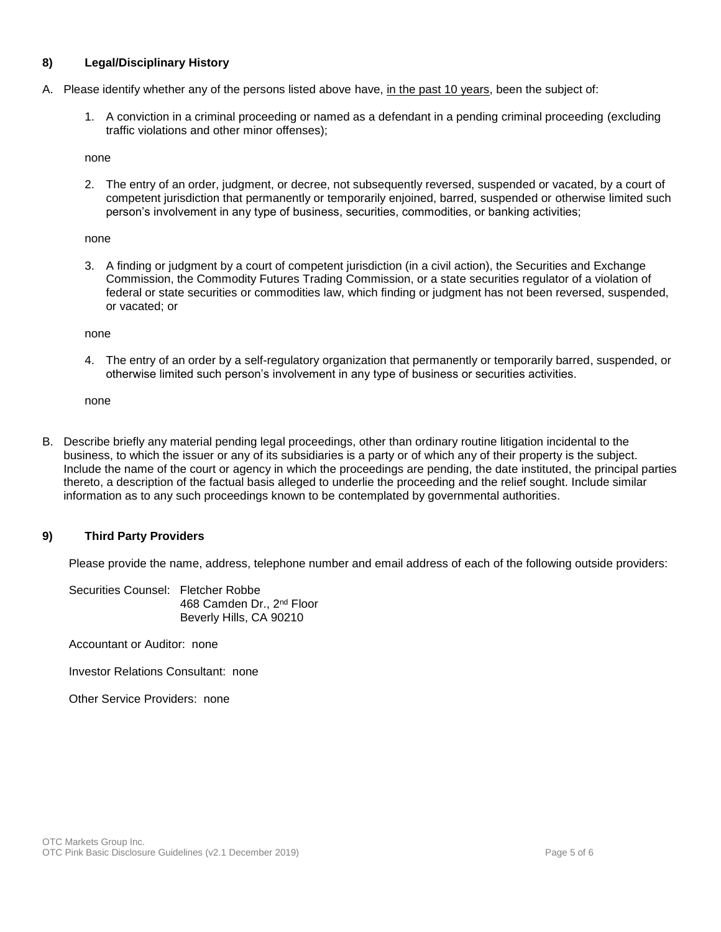# **8) Legal/Disciplinary History**

- A. Please identify whether any of the persons listed above have, in the past 10 years, been the subject of:
	- 1. A conviction in a criminal proceeding or named as a defendant in a pending criminal proceeding (excluding traffic violations and other minor offenses);

none

2. The entry of an order, judgment, or decree, not subsequently reversed, suspended or vacated, by a court of competent jurisdiction that permanently or temporarily enjoined, barred, suspended or otherwise limited such person's involvement in any type of business, securities, commodities, or banking activities;

none

3. A finding or judgment by a court of competent jurisdiction (in a civil action), the Securities and Exchange Commission, the Commodity Futures Trading Commission, or a state securities regulator of a violation of federal or state securities or commodities law, which finding or judgment has not been reversed, suspended, or vacated; or

none

4. The entry of an order by a self-regulatory organization that permanently or temporarily barred, suspended, or otherwise limited such person's involvement in any type of business or securities activities.

none

B. Describe briefly any material pending legal proceedings, other than ordinary routine litigation incidental to the business, to which the issuer or any of its subsidiaries is a party or of which any of their property is the subject. Include the name of the court or agency in which the proceedings are pending, the date instituted, the principal parties thereto, a description of the factual basis alleged to underlie the proceeding and the relief sought. Include similar information as to any such proceedings known to be contemplated by governmental authorities.

#### **9) Third Party Providers**

Please provide the name, address, telephone number and email address of each of the following outside providers:

Securities Counsel: Fletcher Robbe 468 Camden Dr., 2nd Floor Beverly Hills, CA 90210

Accountant or Auditor: none

Investor Relations Consultant: none

Other Service Providers: none